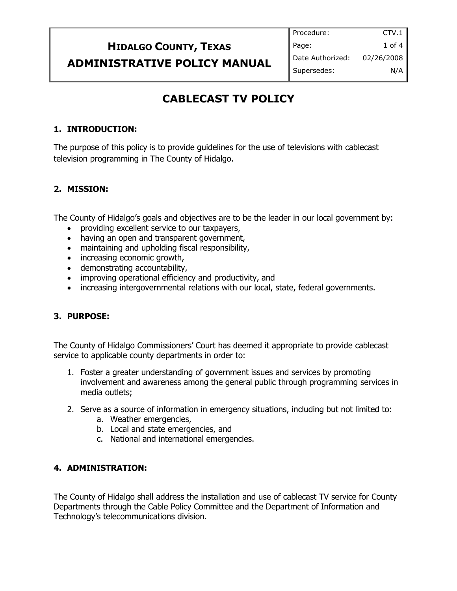## **HIDALGO COUNTY, TEXAS ADMINISTRATIVE POLICY MANUAL**

## **CABLECAST TV POLICY**

#### **1. INTRODUCTION:**

The purpose of this policy is to provide guidelines for the use of televisions with cablecast television programming in The County of Hidalgo.

#### **2. MISSION:**

The County of Hidalgo's goals and objectives are to be the leader in our local government by:

- providing excellent service to our taxpayers,
- having an open and transparent government,
- maintaining and upholding fiscal responsibility,
- increasing economic growth,
- demonstrating accountability,
- improving operational efficiency and productivity, and
- increasing intergovernmental relations with our local, state, federal governments.

#### **3. PURPOSE:**

The County of Hidalgo Commissioners' Court has deemed it appropriate to provide cablecast service to applicable county departments in order to:

- 1. Foster a greater understanding of government issues and services by promoting involvement and awareness among the general public through programming services in media outlets;
- 2. Serve as a source of information in emergency situations, including but not limited to:
	- a. Weather emergencies,
	- b. Local and state emergencies, and
	- c. National and international emergencies.

#### **4. ADMINISTRATION:**

The County of Hidalgo shall address the installation and use of cablecast TV service for County Departments through the Cable Policy Committee and the Department of Information and Technology's telecommunications division.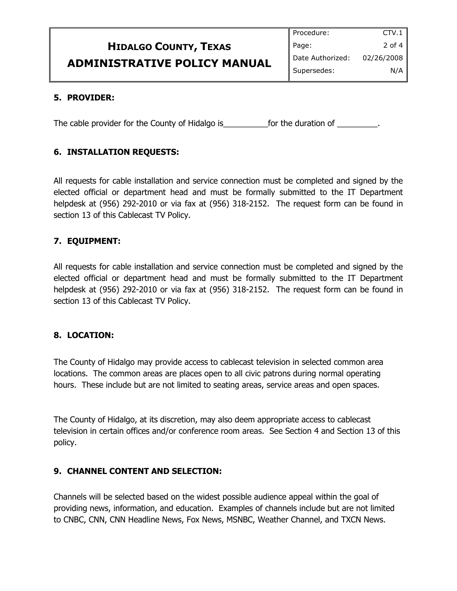|                                     | Procedure:         | CTV.1      |
|-------------------------------------|--------------------|------------|
| <b>HIDALGO COUNTY, TEXAS</b>        | Page:              | 2 of 4     |
| <b>ADMINISTRATIVE POLICY MANUAL</b> | I Date Authorized: | 02/26/2008 |
|                                     | Supersedes:        | N/A        |

#### **5. PROVIDER:**

The cable provider for the County of Hidalgo is \_\_\_\_\_\_\_\_\_\_\_\_\_\_\_\_\_\_\_\_\_\_\_\_\_\_\_\_\_\_\_\_.

#### **6. INSTALLATION REQUESTS:**

All requests for cable installation and service connection must be completed and signed by the elected official or department head and must be formally submitted to the IT Department helpdesk at (956) 292-2010 or via fax at (956) 318-2152. The request form can be found in section 13 of this Cablecast TV Policy.

#### **7. EQUIPMENT:**

All requests for cable installation and service connection must be completed and signed by the elected official or department head and must be formally submitted to the IT Department helpdesk at (956) 292-2010 or via fax at (956) 318-2152. The request form can be found in section 13 of this Cablecast TV Policy.

#### **8. LOCATION:**

The County of Hidalgo may provide access to cablecast television in selected common area locations. The common areas are places open to all civic patrons during normal operating hours. These include but are not limited to seating areas, service areas and open spaces.

The County of Hidalgo, at its discretion, may also deem appropriate access to cablecast television in certain offices and/or conference room areas. See Section 4 and Section 13 of this policy.

#### **9. CHANNEL CONTENT AND SELECTION:**

Channels will be selected based on the widest possible audience appeal within the goal of providing news, information, and education. Examples of channels include but are not limited to CNBC, CNN, CNN Headline News, Fox News, MSNBC, Weather Channel, and TXCN News.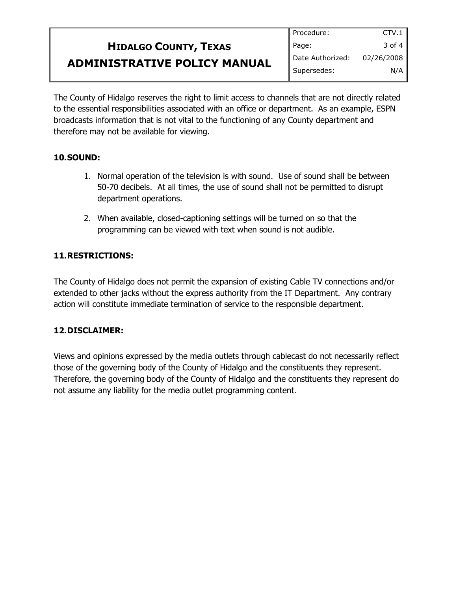# **HIDALGO COUNTY, TEXAS ADMINISTRATIVE POLICY MANUAL**

The County of Hidalgo reserves the right to limit access to channels that are not directly related to the essential responsibilities associated with an office or department. As an example, ESPN broadcasts information that is not vital to the functioning of any County department and therefore may not be available for viewing.

#### **10.SOUND:**

- 1. Normal operation of the television is with sound. Use of sound shall be between 50-70 decibels. At all times, the use of sound shall not be permitted to disrupt department operations.
- 2. When available, closed-captioning settings will be turned on so that the programming can be viewed with text when sound is not audible.

#### **11.RESTRICTIONS:**

The County of Hidalgo does not permit the expansion of existing Cable TV connections and/or extended to other jacks without the express authority from the IT Department. Any contrary action will constitute immediate termination of service to the responsible department.

#### **12.DISCLAIMER:**

Views and opinions expressed by the media outlets through cablecast do not necessarily reflect those of the governing body of the County of Hidalgo and the constituents they represent. Therefore, the governing body of the County of Hidalgo and the constituents they represent do not assume any liability for the media outlet programming content.